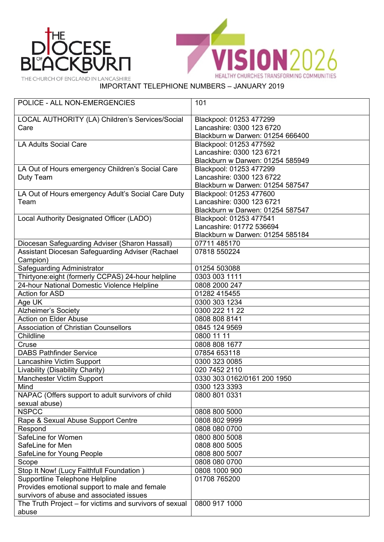



THE CHURCH OF ENGLAND IN LANCASHIRE

## IMPORTANT TELEPHIONE NUMBERS – JANUARY 2019

| <b>POLICE - ALL NON-EMERGENCIES</b>                          | 101                              |
|--------------------------------------------------------------|----------------------------------|
| LOCAL AUTHORITY (LA) Children's Services/Social              | Blackpool: 01253 477299          |
| Care                                                         | Lancashire: 0300 123 6720        |
|                                                              | Blackburn w Darwen: 01254 666400 |
| <b>LA Adults Social Care</b>                                 | Blackpool: 01253 477592          |
|                                                              | Lancashire: 0300 123 6721        |
|                                                              | Blackburn w Darwen: 01254 585949 |
| LA Out of Hours emergency Children's Social Care             | Blackpool: 01253 477299          |
| Duty Team                                                    | Lancashire: 0300 123 6722        |
|                                                              | Blackburn w Darwen: 01254 587547 |
| LA Out of Hours emergency Adult's Social Care Duty           | Blackpool: 01253 477600          |
| Team                                                         | Lancashire: 0300 123 6721        |
|                                                              | Blackburn w Darwen: 01254 587547 |
| Local Authority Designated Officer (LADO)                    | Blackpool: 01253 477541          |
|                                                              | Lancashire: 01772 536694         |
|                                                              | Blackburn w Darwen: 01254 585184 |
| Diocesan Safeguarding Adviser (Sharon Hassall)               | 07711 485170                     |
| Assistant Diocesan Safeguarding Adviser (Rachael<br>Campion) | 07818 550224                     |
| Safeguarding Administrator                                   | 01254 503088                     |
| Thirtyone: eight (formerly CCPAS) 24-hour helpline           | 0303 003 1111                    |
| 24-hour National Domestic Violence Helpline                  | 0808 2000 247                    |
| <b>Action for ASD</b>                                        | 01282 415455                     |
| Age UK                                                       | 0300 303 1234                    |
| <b>Alzheimer's Society</b>                                   | 0300 222 11 22                   |
| Action on Elder Abuse                                        | 0808 808 8141                    |
| <b>Association of Christian Counsellors</b>                  | 0845 124 9569                    |
| Childline                                                    | 0800 11 11                       |
| Cruse                                                        | 0808 808 1677                    |
| <b>DABS Pathfinder Service</b>                               | 07854 653118                     |
| Lancashire Victim Support                                    | 0300 323 0085                    |
| Livability (Disability Charity)                              | 020 7452 2110                    |
| <b>Manchester Victim Support</b>                             | 0330 303 0162/0161 200 1950      |
| Mind                                                         | 0300 123 3393                    |
| NAPAC (Offers support to adult survivors of child            | 0800 801 0331                    |
| sexual abuse)                                                |                                  |
| <b>NSPCC</b>                                                 | 0808 800 5000                    |
| Rape & Sexual Abuse Support Centre                           | 0808 802 9999                    |
| Respond                                                      | 0808 080 0700                    |
| SafeLine for Women                                           | 0800 800 5008                    |
| SafeLine for Men                                             | 0808 800 5005                    |
| SafeLine for Young People                                    | 0808 800 5007                    |
| Scope                                                        | 0808 080 0700                    |
| Stop It Now! (Lucy Faithfull Foundation)                     | 0808 1000 900                    |
| <b>Supportline Telephone Helpline</b>                        | 01708 765200                     |
| Provides emotional support to male and female                |                                  |
| survivors of abuse and associated issues                     |                                  |
| The Truth Project – for victims and survivors of sexual      | 0800 917 1000                    |
| abuse                                                        |                                  |